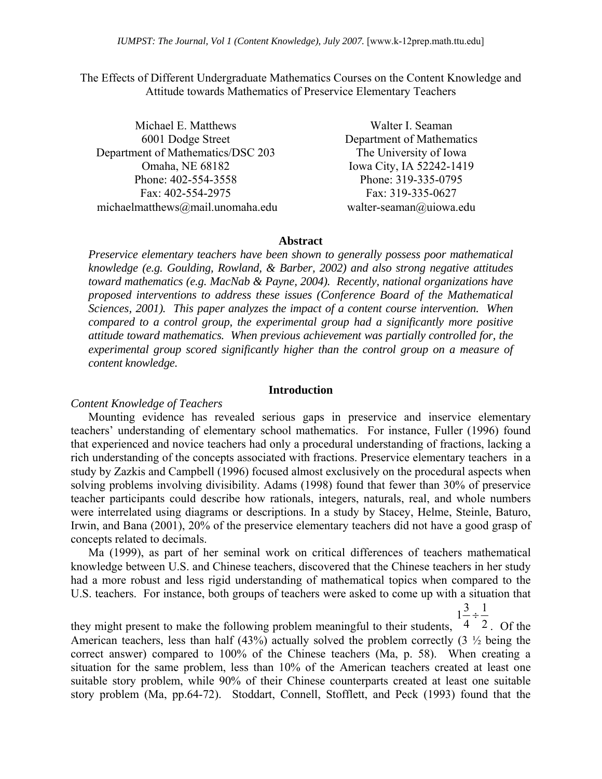The Effects of Different Undergraduate Mathematics Courses on the Content Knowledge and Attitude towards Mathematics of Preservice Elementary Teachers

| Michael E. Matthews               | Walter I. Seaman          |
|-----------------------------------|---------------------------|
| 6001 Dodge Street                 | Department of Mathematics |
| Department of Mathematics/DSC 203 | The University of Iowa    |
| Omaha, NE 68182                   | Iowa City, IA 52242-1419  |
| Phone: 402-554-3558               | Phone: 319-335-0795       |
| Fax: 402-554-2975                 | Fax: 319-335-0627         |
| michaelmatthews@mail.unomaha.edu  | walter-seaman@uiowa.edu   |

#### **Abstract**

*Preservice elementary teachers have been shown to generally possess poor mathematical knowledge (e.g. Goulding, Rowland, & Barber, 2002) and also strong negative attitudes toward mathematics (e.g. MacNab & Payne, 2004). Recently, national organizations have proposed interventions to address these issues (Conference Board of the Mathematical Sciences, 2001). This paper analyzes the impact of a content course intervention. When compared to a control group, the experimental group had a significantly more positive attitude toward mathematics. When previous achievement was partially controlled for, the experimental group scored significantly higher than the control group on a measure of content knowledge.* 

### **Introduction**

#### *Content Knowledge of Teachers*

Mounting evidence has revealed serious gaps in preservice and inservice elementary teachers' understanding of elementary school mathematics. For instance, Fuller (1996) found that experienced and novice teachers had only a procedural understanding of fractions, lacking a rich understanding of the concepts associated with fractions. Preservice elementary teachers in a study by Zazkis and Campbell (1996) focused almost exclusively on the procedural aspects when solving problems involving divisibility. Adams (1998) found that fewer than 30% of preservice teacher participants could describe how rationals, integers, naturals, real, and whole numbers were interrelated using diagrams or descriptions. In a study by Stacey, Helme, Steinle, Baturo, Irwin, and Bana (2001), 20% of the preservice elementary teachers did not have a good grasp of concepts related to decimals.

Ma (1999), as part of her seminal work on critical differences of teachers mathematical knowledge between U.S. and Chinese teachers, discovered that the Chinese teachers in her study had a more robust and less rigid understanding of mathematical topics when compared to the U.S. teachers. For instance, both groups of teachers were asked to come up with a situation that

they might present to make the following problem meaningful to their students,  $\begin{bmatrix} 4 & 2 \end{bmatrix}$ . Of the  $1\frac{3}{4} \div \frac{1}{2}$ American teachers, less than half (43%) actually solved the problem correctly (3 ½ being the correct answer) compared to 100% of the Chinese teachers (Ma, p. 58). When creating a situation for the same problem, less than 10% of the American teachers created at least one suitable story problem, while 90% of their Chinese counterparts created at least one suitable story problem (Ma, pp.64-72). Stoddart, Connell, Stofflett, and Peck (1993) found that the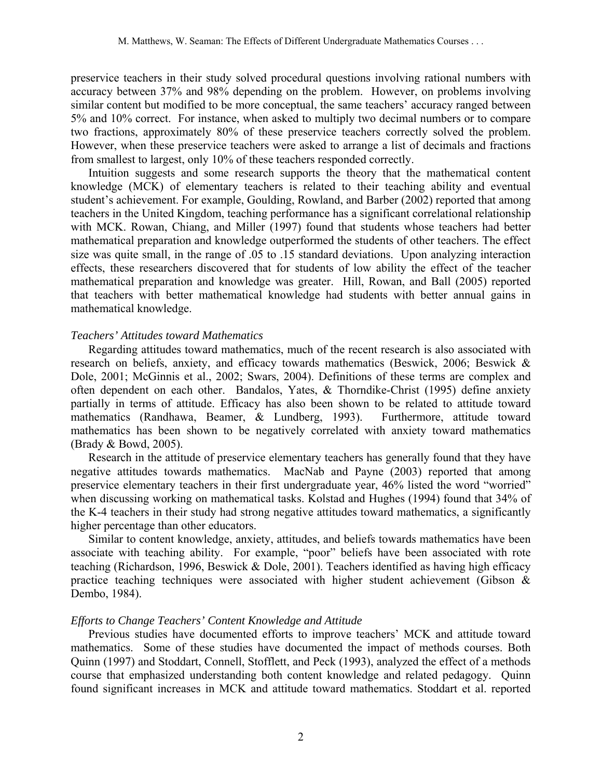preservice teachers in their study solved procedural questions involving rational numbers with accuracy between 37% and 98% depending on the problem. However, on problems involving similar content but modified to be more conceptual, the same teachers' accuracy ranged between 5% and 10% correct. For instance, when asked to multiply two decimal numbers or to compare two fractions, approximately 80% of these preservice teachers correctly solved the problem. However, when these preservice teachers were asked to arrange a list of decimals and fractions from smallest to largest, only 10% of these teachers responded correctly.

Intuition suggests and some research supports the theory that the mathematical content knowledge (MCK) of elementary teachers is related to their teaching ability and eventual student's achievement. For example, Goulding, Rowland, and Barber (2002) reported that among teachers in the United Kingdom, teaching performance has a significant correlational relationship with MCK. Rowan, Chiang, and Miller (1997) found that students whose teachers had better mathematical preparation and knowledge outperformed the students of other teachers. The effect size was quite small, in the range of .05 to .15 standard deviations. Upon analyzing interaction effects, these researchers discovered that for students of low ability the effect of the teacher mathematical preparation and knowledge was greater. Hill, Rowan, and Ball (2005) reported that teachers with better mathematical knowledge had students with better annual gains in mathematical knowledge.

### *Teachers' Attitudes toward Mathematics*

Regarding attitudes toward mathematics, much of the recent research is also associated with research on beliefs, anxiety, and efficacy towards mathematics (Beswick, 2006; Beswick & Dole, 2001; McGinnis et al., 2002; Swars, 2004). Definitions of these terms are complex and often dependent on each other. Bandalos, Yates, & Thorndike-Christ (1995) define anxiety partially in terms of attitude. Efficacy has also been shown to be related to attitude toward mathematics (Randhawa, Beamer, & Lundberg, 1993). Furthermore, attitude toward mathematics has been shown to be negatively correlated with anxiety toward mathematics (Brady & Bowd, 2005).

Research in the attitude of preservice elementary teachers has generally found that they have negative attitudes towards mathematics. MacNab and Payne (2003) reported that among preservice elementary teachers in their first undergraduate year, 46% listed the word "worried" when discussing working on mathematical tasks. Kolstad and Hughes (1994) found that 34% of the K-4 teachers in their study had strong negative attitudes toward mathematics, a significantly higher percentage than other educators.

Similar to content knowledge, anxiety, attitudes, and beliefs towards mathematics have been associate with teaching ability. For example, "poor" beliefs have been associated with rote teaching (Richardson, 1996, Beswick & Dole, 2001). Teachers identified as having high efficacy practice teaching techniques were associated with higher student achievement (Gibson & Dembo, 1984).

### *Efforts to Change Teachers' Content Knowledge and Attitude*

Previous studies have documented efforts to improve teachers' MCK and attitude toward mathematics. Some of these studies have documented the impact of methods courses. Both Quinn (1997) and Stoddart, Connell, Stofflett, and Peck (1993), analyzed the effect of a methods course that emphasized understanding both content knowledge and related pedagogy. Quinn found significant increases in MCK and attitude toward mathematics. Stoddart et al. reported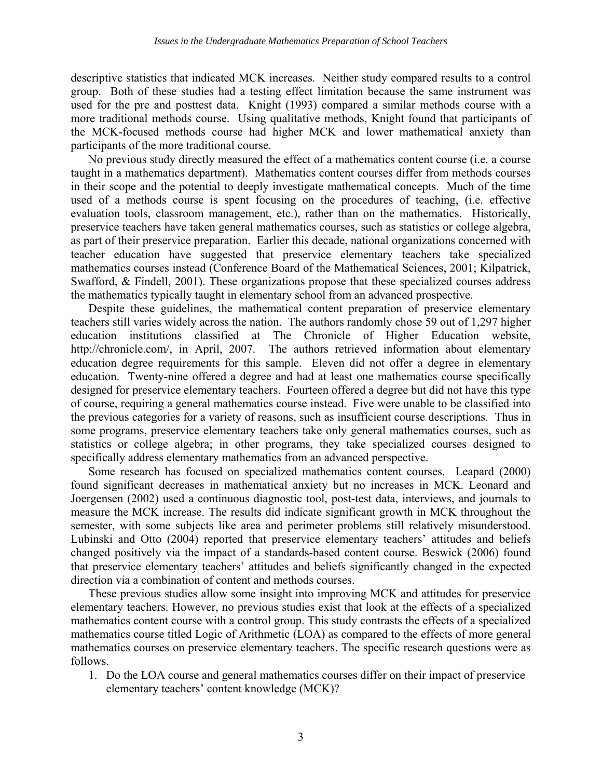descriptive statistics that indicated MCK increases. Neither study compared results to a control group. Both of these studies had a testing effect limitation because the same instrument was used for the pre and posttest data. Knight (1993) compared a similar methods course with a more traditional methods course. Using qualitative methods, Knight found that participants of the MCK-focused methods course had higher MCK and lower mathematical anxiety than participants of the more traditional course.

No previous study directly measured the effect of a mathematics content course (i.e. a course taught in a mathematics department). Mathematics content courses differ from methods courses in their scope and the potential to deeply investigate mathematical concepts. Much of the time used of a methods course is spent focusing on the procedures of teaching, (i.e. effective evaluation tools, classroom management, etc.), rather than on the mathematics. Historically, preservice teachers have taken general mathematics courses, such as statistics or college algebra, as part of their preservice preparation. Earlier this decade, national organizations concerned with teacher education have suggested that preservice elementary teachers take specialized mathematics courses instead (Conference Board of the Mathematical Sciences, 2001; Kilpatrick, Swafford, & Findell, 2001). These organizations propose that these specialized courses address the mathematics typically taught in elementary school from an advanced prospective.

Despite these guidelines, the mathematical content preparation of preservice elementary teachers still varies widely across the nation. The authors randomly chose 59 out of 1,297 higher education institutions classified at The Chronicle of Higher Education website, http://chronicle.com/, in April, 2007. The authors retrieved information about elementary education degree requirements for this sample. Eleven did not offer a degree in elementary education. Twenty-nine offered a degree and had at least one mathematics course specifically designed for preservice elementary teachers. Fourteen offered a degree but did not have this type of course, requiring a general mathematics course instead. Five were unable to be classified into the previous categories for a variety of reasons, such as insufficient course descriptions. Thus in some programs, preservice elementary teachers take only general mathematics courses, such as statistics or college algebra; in other programs, they take specialized courses designed to specifically address elementary mathematics from an advanced perspective.

Some research has focused on specialized mathematics content courses. Leapard (2000) found significant decreases in mathematical anxiety but no increases in MCK. Leonard and Joergensen (2002) used a continuous diagnostic tool, post-test data, interviews, and journals to measure the MCK increase. The results did indicate significant growth in MCK throughout the semester, with some subjects like area and perimeter problems still relatively misunderstood. Lubinski and Otto (2004) reported that preservice elementary teachers' attitudes and beliefs changed positively via the impact of a standards-based content course. Beswick (2006) found that preservice elementary teachers' attitudes and beliefs significantly changed in the expected direction via a combination of content and methods courses.

These previous studies allow some insight into improving MCK and attitudes for preservice elementary teachers. However, no previous studies exist that look at the effects of a specialized mathematics content course with a control group. This study contrasts the effects of a specialized mathematics course titled Logic of Arithmetic (LOA) as compared to the effects of more general mathematics courses on preservice elementary teachers. The specific research questions were as follows.

1. Do the LOA course and general mathematics courses differ on their impact of preservice elementary teachers' content knowledge (MCK)?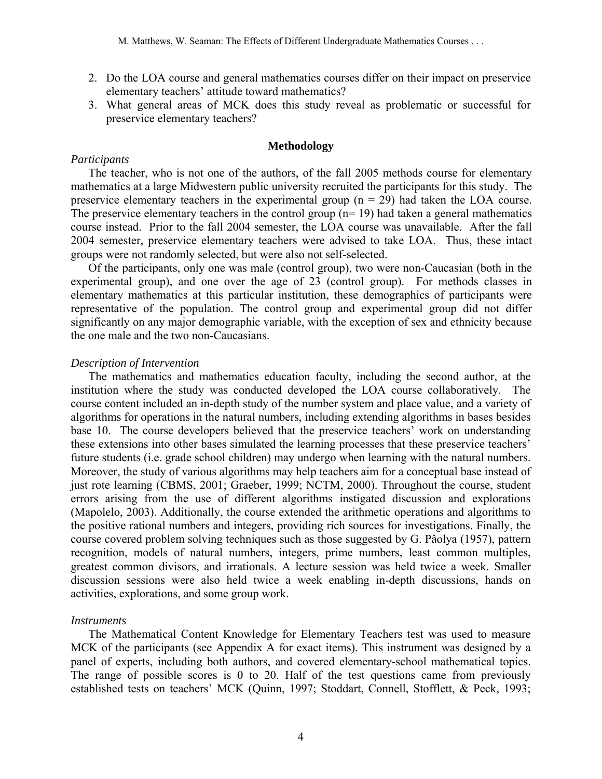- 2. Do the LOA course and general mathematics courses differ on their impact on preservice elementary teachers' attitude toward mathematics?
- 3. What general areas of MCK does this study reveal as problematic or successful for preservice elementary teachers?

# **Methodology**

#### *Participants*

The teacher, who is not one of the authors, of the fall 2005 methods course for elementary mathematics at a large Midwestern public university recruited the participants for this study. The preservice elementary teachers in the experimental group  $(n = 29)$  had taken the LOA course. The preservice elementary teachers in the control group  $(n=19)$  had taken a general mathematics course instead. Prior to the fall 2004 semester, the LOA course was unavailable. After the fall 2004 semester, preservice elementary teachers were advised to take LOA. Thus, these intact groups were not randomly selected, but were also not self-selected.

Of the participants, only one was male (control group), two were non-Caucasian (both in the experimental group), and one over the age of 23 (control group). For methods classes in elementary mathematics at this particular institution, these demographics of participants were representative of the population. The control group and experimental group did not differ significantly on any major demographic variable, with the exception of sex and ethnicity because the one male and the two non-Caucasians.

### *Description of Intervention*

The mathematics and mathematics education faculty, including the second author, at the institution where the study was conducted developed the LOA course collaboratively. The course content included an in-depth study of the number system and place value, and a variety of algorithms for operations in the natural numbers, including extending algorithms in bases besides base 10. The course developers believed that the preservice teachers' work on understanding these extensions into other bases simulated the learning processes that these preservice teachers' future students (i.e. grade school children) may undergo when learning with the natural numbers. Moreover, the study of various algorithms may help teachers aim for a conceptual base instead of just rote learning (CBMS, 2001; Graeber, 1999; NCTM, 2000). Throughout the course, student errors arising from the use of different algorithms instigated discussion and explorations (Mapolelo, 2003). Additionally, the course extended the arithmetic operations and algorithms to the positive rational numbers and integers, providing rich sources for investigations. Finally, the course covered problem solving techniques such as those suggested by G. Pâolya (1957), pattern recognition, models of natural numbers, integers, prime numbers, least common multiples, greatest common divisors, and irrationals. A lecture session was held twice a week. Smaller discussion sessions were also held twice a week enabling in-depth discussions, hands on activities, explorations, and some group work.

### *Instruments*

The Mathematical Content Knowledge for Elementary Teachers test was used to measure MCK of the participants (see Appendix A for exact items). This instrument was designed by a panel of experts, including both authors, and covered elementary-school mathematical topics. The range of possible scores is 0 to 20. Half of the test questions came from previously established tests on teachers' MCK (Quinn, 1997; Stoddart, Connell, Stofflett, & Peck, 1993;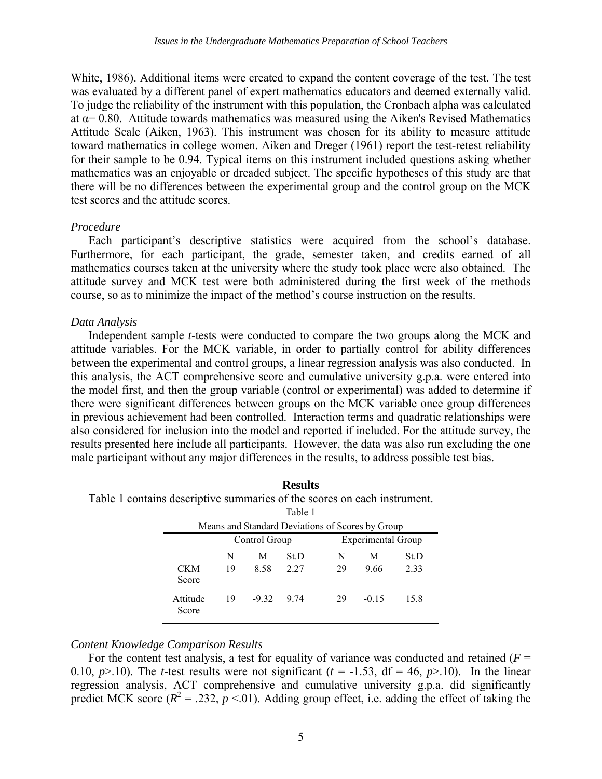White, 1986). Additional items were created to expand the content coverage of the test. The test was evaluated by a different panel of expert mathematics educators and deemed externally valid. To judge the reliability of the instrument with this population, the Cronbach alpha was calculated at  $\alpha$  = 0.80. Attitude towards mathematics was measured using the Aiken's Revised Mathematics Attitude Scale (Aiken, 1963). This instrument was chosen for its ability to measure attitude toward mathematics in college women. Aiken and Dreger (1961) report the test-retest reliability for their sample to be 0.94. Typical items on this instrument included questions asking whether mathematics was an enjoyable or dreaded subject. The specific hypotheses of this study are that there will be no differences between the experimental group and the control group on the MCK test scores and the attitude scores.

### *Procedure*

Each participant's descriptive statistics were acquired from the school's database. Furthermore, for each participant, the grade, semester taken, and credits earned of all mathematics courses taken at the university where the study took place were also obtained. The attitude survey and MCK test were both administered during the first week of the methods course, so as to minimize the impact of the method's course instruction on the results.

### *Data Analysis*

Independent sample *t*-tests were conducted to compare the two groups along the MCK and attitude variables. For the MCK variable, in order to partially control for ability differences between the experimental and control groups, a linear regression analysis was also conducted. In this analysis, the ACT comprehensive score and cumulative university g.p.a. were entered into the model first, and then the group variable (control or experimental) was added to determine if there were significant differences between groups on the MCK variable once group differences in previous achievement had been controlled. Interaction terms and quadratic relationships were also considered for inclusion into the model and reported if included. For the attitude survey, the results presented here include all participants. However, the data was also run excluding the one male participant without any major differences in the results, to address possible test bias.

**Results** 

| tains descriptive summaries of the scores on each instrument. |                                                  |               |      |                           |         |      |  |  |  |  |  |  |
|---------------------------------------------------------------|--------------------------------------------------|---------------|------|---------------------------|---------|------|--|--|--|--|--|--|
|                                                               | Table 1                                          |               |      |                           |         |      |  |  |  |  |  |  |
|                                                               | Means and Standard Deviations of Scores by Group |               |      |                           |         |      |  |  |  |  |  |  |
|                                                               |                                                  | Control Group |      | <b>Experimental Group</b> |         |      |  |  |  |  |  |  |
|                                                               | N                                                | М             | St.D | N                         | M       | St.D |  |  |  |  |  |  |
| <b>CKM</b><br>Score                                           | 19                                               | 8.58          | 2.27 | 29                        | 9.66    | 2.33 |  |  |  |  |  |  |
| Attitude<br>Score                                             | 19                                               | $-932$        | 9 74 | 29                        | $-0.15$ | 15.8 |  |  |  |  |  |  |

Table 1 contains desc

# *Content Knowledge Comparison Results*

For the content test analysis, a test for equality of variance was conducted and retained  $(F =$ 0.10,  $p > 0.10$ . The *t*-test results were not significant ( $t = -1.53$ , df = 46,  $p > 0.10$ ). In the linear regression analysis, ACT comprehensive and cumulative university g.p.a. did significantly predict MCK score  $(R^2 = .232, p < .01)$ . Adding group effect, i.e. adding the effect of taking the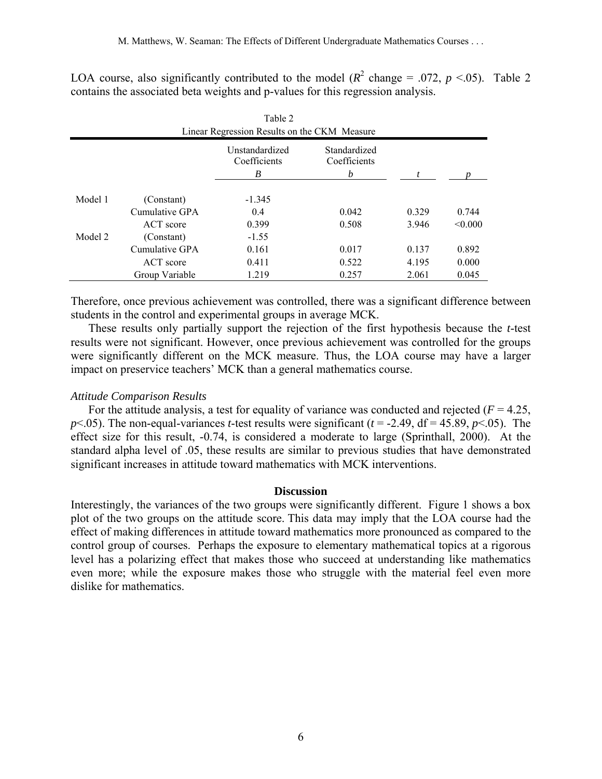| Table 2<br>Linear Regression Results on the CKM Measure |                |                                     |                                   |       |         |  |  |  |  |  |  |
|---------------------------------------------------------|----------------|-------------------------------------|-----------------------------------|-------|---------|--|--|--|--|--|--|
|                                                         |                | Unstandardized<br>Coefficients<br>B | Standardized<br>Coefficients<br>b |       |         |  |  |  |  |  |  |
| Model 1                                                 | (Constant)     | $-1.345$                            |                                   |       |         |  |  |  |  |  |  |
|                                                         | Cumulative GPA | 0.4                                 | 0.042                             | 0.329 | 0.744   |  |  |  |  |  |  |
|                                                         | ACT score      | 0.399                               | 0.508                             | 3.946 | < 0.000 |  |  |  |  |  |  |
| Model 2                                                 | (Constant)     | $-1.55$                             |                                   |       |         |  |  |  |  |  |  |
|                                                         | Cumulative GPA | 0.161                               | 0.017                             | 0.137 | 0.892   |  |  |  |  |  |  |
|                                                         | ACT score      | 0.411                               | 0.522                             | 4.195 | 0.000   |  |  |  |  |  |  |
|                                                         | Group Variable | 1.219                               | 0.257                             | 2.061 | 0.045   |  |  |  |  |  |  |

LOA course, also significantly contributed to the model ( $R^2$  change = .072,  $p \le 0.05$ ). Table 2 contains the associated beta weights and p-values for this regression analysis.

Therefore, once previous achievement was controlled, there was a significant difference between students in the control and experimental groups in average MCK.

These results only partially support the rejection of the first hypothesis because the *t*-test results were not significant. However, once previous achievement was controlled for the groups were significantly different on the MCK measure. Thus, the LOA course may have a larger impact on preservice teachers' MCK than a general mathematics course.

# *Attitude Comparison Results*

For the attitude analysis, a test for equality of variance was conducted and rejected  $(F = 4.25)$ , *p* $\le$ .05). The non-equal-variances *t*-test results were significant (*t* = -2.49, df = 45.89, *p* $\le$ .05). The effect size for this result, -0.74, is considered a moderate to large (Sprinthall, 2000). At the standard alpha level of .05, these results are similar to previous studies that have demonstrated significant increases in attitude toward mathematics with MCK interventions.

### **Discussion**

Interestingly, the variances of the two groups were significantly different. Figure 1 shows a box plot of the two groups on the attitude score. This data may imply that the LOA course had the effect of making differences in attitude toward mathematics more pronounced as compared to the control group of courses. Perhaps the exposure to elementary mathematical topics at a rigorous level has a polarizing effect that makes those who succeed at understanding like mathematics even more; while the exposure makes those who struggle with the material feel even more dislike for mathematics.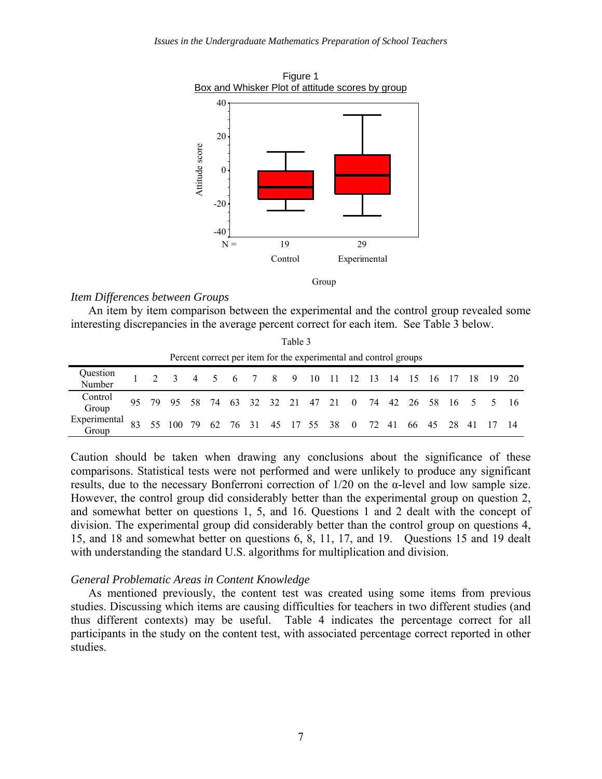

# *Item Differences between Groups*

An item by item comparison between the experimental and the control group revealed some interesting discrepancies in the average percent correct for each item. See Table 3 below.

Table 3

| Percent correct per item for the experimental and control groups |  |  |                                                                |  |  |  |  |  |  |  |  |  |  |  |  |  |  |
|------------------------------------------------------------------|--|--|----------------------------------------------------------------|--|--|--|--|--|--|--|--|--|--|--|--|--|--|
| Question<br>Number                                               |  |  | 2 3 4 5 6 7 8 9 10 11 12 13 14 15 16 17 18 19 20               |  |  |  |  |  |  |  |  |  |  |  |  |  |  |
| Control<br>Group                                                 |  |  | 95 79 95 58 74 63 32 32 21 47 21 0 74 42 26 58 16 5 5 16       |  |  |  |  |  |  |  |  |  |  |  |  |  |  |
| Experimental<br>Group                                            |  |  | $-83$ 55 100 79 62 76 31 45 17 55 38 0 72 41 66 45 28 41 17 14 |  |  |  |  |  |  |  |  |  |  |  |  |  |  |

Caution should be taken when drawing any conclusions about the significance of these comparisons. Statistical tests were not performed and were unlikely to produce any significant results, due to the necessary Bonferroni correction of 1/20 on the α-level and low sample size. However, the control group did considerably better than the experimental group on question 2, and somewhat better on questions 1, 5, and 16. Questions 1 and 2 dealt with the concept of division. The experimental group did considerably better than the control group on questions 4, 15, and 18 and somewhat better on questions 6, 8, 11, 17, and 19. Questions 15 and 19 dealt with understanding the standard U.S. algorithms for multiplication and division.

# *General Problematic Areas in Content Knowledge*

As mentioned previously, the content test was created using some items from previous studies. Discussing which items are causing difficulties for teachers in two different studies (and thus different contexts) may be useful. Table 4 indicates the percentage correct for all participants in the study on the content test, with associated percentage correct reported in other studies.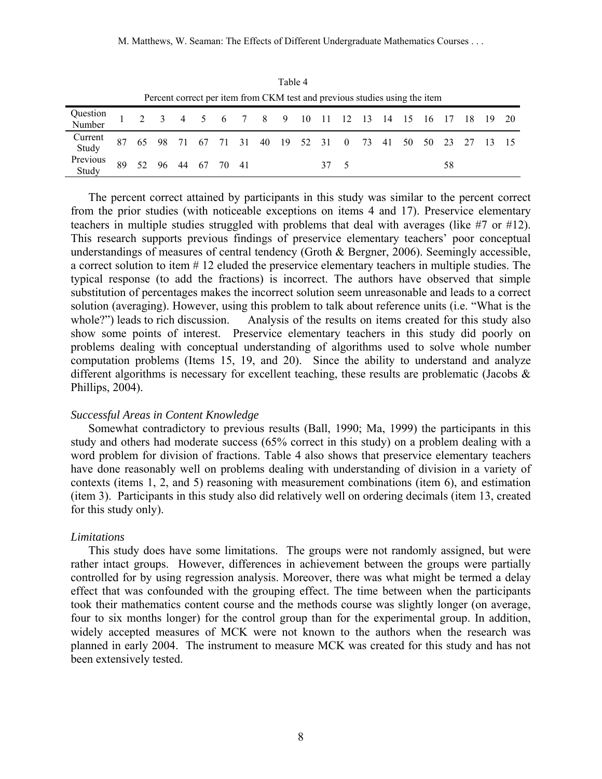| Percent correct per item from CKM test and previous studies using the item |  |  |  |  |  |  |  |  |  |  |  |  |  |                                                            |  |    |  |  |
|----------------------------------------------------------------------------|--|--|--|--|--|--|--|--|--|--|--|--|--|------------------------------------------------------------|--|----|--|--|
| Question 1 2 3 4 5 6 7 8 9 10 11 12 13 14 15 16 17 18 19 20                |  |  |  |  |  |  |  |  |  |  |  |  |  |                                                            |  |    |  |  |
| Current<br>Study                                                           |  |  |  |  |  |  |  |  |  |  |  |  |  | 87 65 98 71 67 71 31 40 19 52 31 0 73 41 50 50 23 27 13 15 |  |    |  |  |
| Previous 89 52 96 44 67 70 41<br>Study 89 52 96 44 67 70 41                |  |  |  |  |  |  |  |  |  |  |  |  |  |                                                            |  | 58 |  |  |

Table 4

The percent correct attained by participants in this study was similar to the percent correct from the prior studies (with noticeable exceptions on items 4 and 17). Preservice elementary teachers in multiple studies struggled with problems that deal with averages (like #7 or #12). This research supports previous findings of preservice elementary teachers' poor conceptual understandings of measures of central tendency (Groth & Bergner, 2006). Seemingly accessible, a correct solution to item # 12 eluded the preservice elementary teachers in multiple studies. The typical response (to add the fractions) is incorrect. The authors have observed that simple substitution of percentages makes the incorrect solution seem unreasonable and leads to a correct solution (averaging). However, using this problem to talk about reference units (i.e. "What is the whole?") leads to rich discussion. Analysis of the results on items created for this study also show some points of interest. Preservice elementary teachers in this study did poorly on problems dealing with conceptual understanding of algorithms used to solve whole number computation problems (Items 15, 19, and 20). Since the ability to understand and analyze different algorithms is necessary for excellent teaching, these results are problematic (Jacobs & Phillips, 2004).

#### *Successful Areas in Content Knowledge*

Somewhat contradictory to previous results (Ball, 1990; Ma, 1999) the participants in this study and others had moderate success (65% correct in this study) on a problem dealing with a word problem for division of fractions. Table 4 also shows that preservice elementary teachers have done reasonably well on problems dealing with understanding of division in a variety of contexts (items 1, 2, and 5) reasoning with measurement combinations (item 6), and estimation (item 3). Participants in this study also did relatively well on ordering decimals (item 13, created for this study only).

### *Limitations*

This study does have some limitations. The groups were not randomly assigned, but were rather intact groups. However, differences in achievement between the groups were partially controlled for by using regression analysis. Moreover, there was what might be termed a delay effect that was confounded with the grouping effect. The time between when the participants took their mathematics content course and the methods course was slightly longer (on average, four to six months longer) for the control group than for the experimental group. In addition, widely accepted measures of MCK were not known to the authors when the research was planned in early 2004. The instrument to measure MCK was created for this study and has not been extensively tested.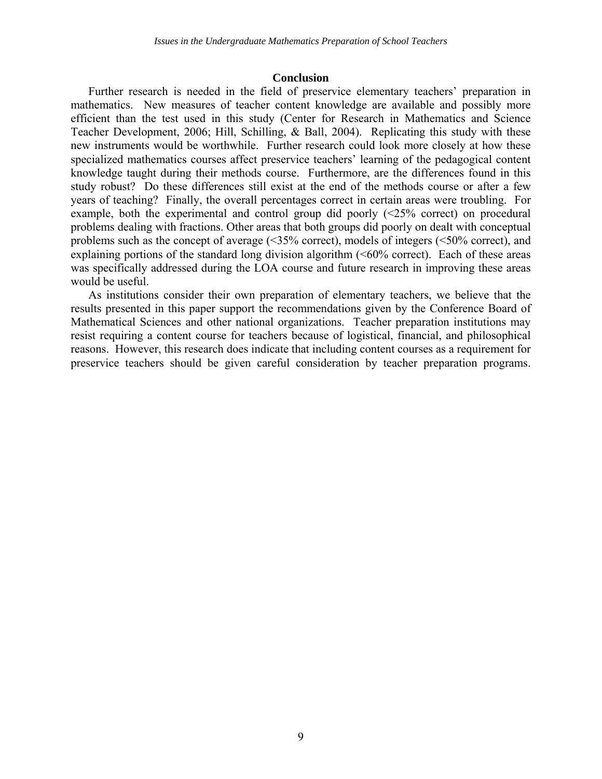#### **Conclusion**

Further research is needed in the field of preservice elementary teachers' preparation in mathematics. New measures of teacher content knowledge are available and possibly more efficient than the test used in this study (Center for Research in Mathematics and Science Teacher Development, 2006; Hill, Schilling, & Ball, 2004). Replicating this study with these new instruments would be worthwhile. Further research could look more closely at how these specialized mathematics courses affect preservice teachers' learning of the pedagogical content knowledge taught during their methods course. Furthermore, are the differences found in this study robust? Do these differences still exist at the end of the methods course or after a few years of teaching? Finally, the overall percentages correct in certain areas were troubling. For example, both the experimental and control group did poorly (<25% correct) on procedural problems dealing with fractions. Other areas that both groups did poorly on dealt with conceptual problems such as the concept of average (<35% correct), models of integers (<50% correct), and explaining portions of the standard long division algorithm  $(<60\%$  correct). Each of these areas was specifically addressed during the LOA course and future research in improving these areas would be useful.

As institutions consider their own preparation of elementary teachers, we believe that the results presented in this paper support the recommendations given by the Conference Board of Mathematical Sciences and other national organizations. Teacher preparation institutions may resist requiring a content course for teachers because of logistical, financial, and philosophical reasons. However, this research does indicate that including content courses as a requirement for preservice teachers should be given careful consideration by teacher preparation programs.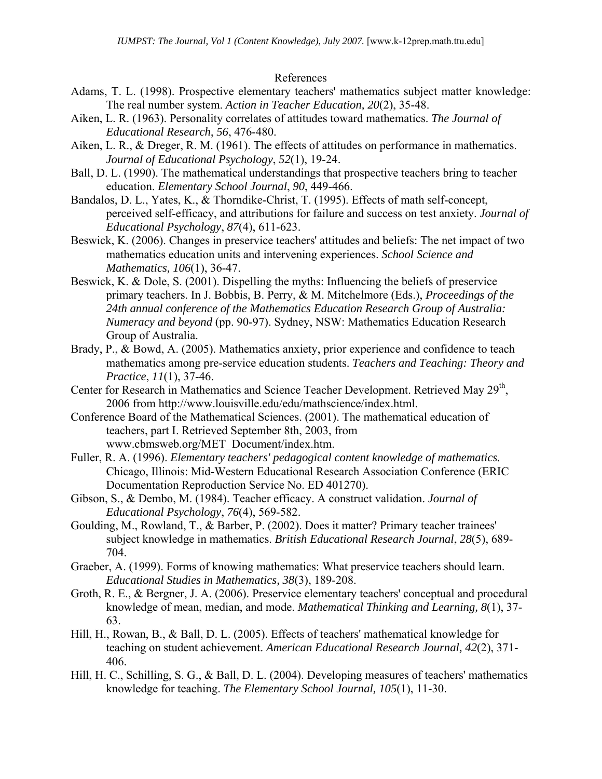### References

- Adams, T. L. (1998). Prospective elementary teachers' mathematics subject matter knowledge: The real number system. *Action in Teacher Education, 20*(2), 35-48.
- Aiken, L. R. (1963). Personality correlates of attitudes toward mathematics. *The Journal of Educational Research*, *56*, 476-480.
- Aiken, L. R., & Dreger, R. M. (1961). The effects of attitudes on performance in mathematics. *Journal of Educational Psychology*, *52*(1), 19-24.
- Ball, D. L. (1990). The mathematical understandings that prospective teachers bring to teacher education. *Elementary School Journal*, *90*, 449-466.
- Bandalos, D. L., Yates, K., & Thorndike-Christ, T. (1995). Effects of math self-concept, perceived self-efficacy, and attributions for failure and success on test anxiety. *Journal of Educational Psychology*, *87*(4), 611-623.
- Beswick, K. (2006). Changes in preservice teachers' attitudes and beliefs: The net impact of two mathematics education units and intervening experiences. *School Science and Mathematics, 106*(1), 36-47.
- Beswick, K. & Dole, S. (2001). Dispelling the myths: Influencing the beliefs of preservice primary teachers. In J. Bobbis, B. Perry, & M. Mitchelmore (Eds.), *Proceedings of the 24th annual conference of the Mathematics Education Research Group of Australia: Numeracy and beyond* (pp. 90-97). Sydney, NSW: Mathematics Education Research Group of Australia.
- Brady, P., & Bowd, A. (2005). Mathematics anxiety, prior experience and confidence to teach mathematics among pre-service education students. *Teachers and Teaching: Theory and Practice*, *11*(1), 37-46.
- Center for Research in Mathematics and Science Teacher Development. Retrieved May 29<sup>th</sup>, 2006 from http://www.louisville.edu/edu/mathscience/index.html.
- Conference Board of the Mathematical Sciences. (2001). The mathematical education of teachers, part I. Retrieved September 8th, 2003, from www.cbmsweb.org/MET\_Document/index.htm.
- Fuller, R. A. (1996). *Elementary teachers' pedagogical content knowledge of mathematics.* Chicago, Illinois: Mid-Western Educational Research Association Conference (ERIC Documentation Reproduction Service No. ED 401270).
- Gibson, S., & Dembo, M. (1984). Teacher efficacy. A construct validation. *Journal of Educational Psychology*, *76*(4), 569-582.
- Goulding, M., Rowland, T., & Barber, P. (2002). Does it matter? Primary teacher trainees' subject knowledge in mathematics. *British Educational Research Journal*, *28*(5), 689- 704.
- Graeber, A. (1999). Forms of knowing mathematics: What preservice teachers should learn. *Educational Studies in Mathematics, 38*(3), 189-208.
- Groth, R. E., & Bergner, J. A. (2006). Preservice elementary teachers' conceptual and procedural knowledge of mean, median, and mode. *Mathematical Thinking and Learning, 8*(1), 37- 63.
- Hill, H., Rowan, B., & Ball, D. L. (2005). Effects of teachers' mathematical knowledge for teaching on student achievement. *American Educational Research Journal, 42*(2), 371- 406.
- Hill, H. C., Schilling, S. G., & Ball, D. L. (2004). Developing measures of teachers' mathematics knowledge for teaching. *The Elementary School Journal, 105*(1), 11-30.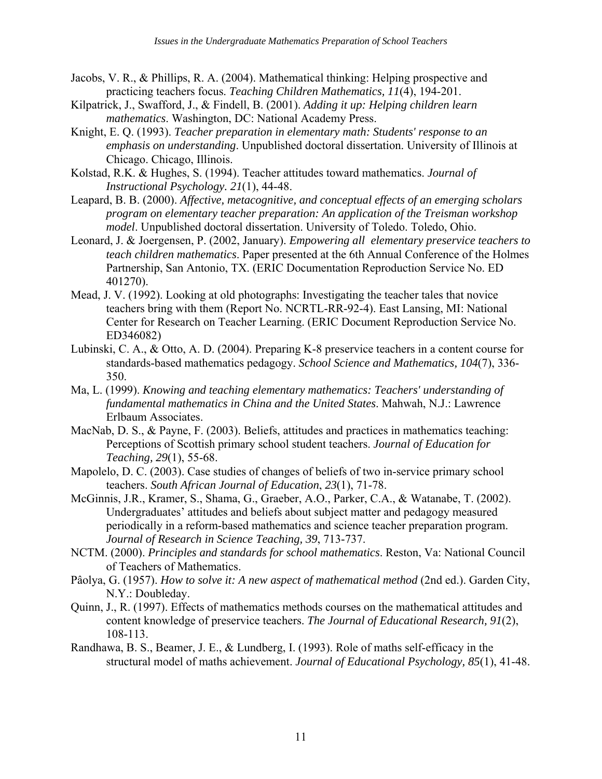- Jacobs, V. R., & Phillips, R. A. (2004). Mathematical thinking: Helping prospective and practicing teachers focus. *Teaching Children Mathematics, 11*(4), 194-201.
- Kilpatrick, J., Swafford, J., & Findell, B. (2001). *Adding it up: Helping children learn mathematics*. Washington, DC: National Academy Press.
- Knight, E. Q. (1993). *Teacher preparation in elementary math: Students' response to an emphasis on understanding*. Unpublished doctoral dissertation. University of Illinois at Chicago. Chicago, Illinois.
- Kolstad, R.K. & Hughes, S. (1994). Teacher attitudes toward mathematics. *Journal of Instructional Psychology. 21*(1), 44-48.
- Leapard, B. B. (2000). *Affective, metacognitive, and conceptual effects of an emerging scholars program on elementary teacher preparation: An application of the Treisman workshop model*. Unpublished doctoral dissertation. University of Toledo. Toledo, Ohio.
- Leonard, J. & Joergensen, P. (2002, January). *Empowering all elementary preservice teachers to teach children mathematics*. Paper presented at the 6th Annual Conference of the Holmes Partnership, San Antonio, TX. (ERIC Documentation Reproduction Service No. ED 401270).
- Mead, J. V. (1992). Looking at old photographs: Investigating the teacher tales that novice teachers bring with them (Report No. NCRTL-RR-92-4). East Lansing, MI: National Center for Research on Teacher Learning. (ERIC Document Reproduction Service No. ED346082)
- Lubinski, C. A., & Otto, A. D. (2004). Preparing K-8 preservice teachers in a content course for standards-based mathematics pedagogy. *School Science and Mathematics, 104*(7), 336- 350.
- Ma, L. (1999). *Knowing and teaching elementary mathematics: Teachers' understanding of fundamental mathematics in China and the United States*. Mahwah, N.J.: Lawrence Erlbaum Associates.
- MacNab, D. S., & Payne, F. (2003). Beliefs, attitudes and practices in mathematics teaching: Perceptions of Scottish primary school student teachers. *Journal of Education for Teaching, 29*(1), 55-68.
- Mapolelo, D. C. (2003). Case studies of changes of beliefs of two in-service primary school teachers. *South African Journal of Education*, *23*(1), 71-78.
- McGinnis, J.R., Kramer, S., Shama, G., Graeber, A.O., Parker, C.A., & Watanabe, T. (2002). Undergraduates' attitudes and beliefs about subject matter and pedagogy measured periodically in a reform-based mathematics and science teacher preparation program. *Journal of Research in Science Teaching, 39*, 713-737.
- NCTM. (2000). *Principles and standards for school mathematics*. Reston, Va: National Council of Teachers of Mathematics.
- Pâolya, G. (1957). *How to solve it: A new aspect of mathematical method* (2nd ed.). Garden City, N.Y.: Doubleday.
- Quinn, J., R. (1997). Effects of mathematics methods courses on the mathematical attitudes and content knowledge of preservice teachers. *The Journal of Educational Research, 91*(2), 108-113.
- Randhawa, B. S., Beamer, J. E., & Lundberg, I. (1993). Role of maths self-efficacy in the structural model of maths achievement. *Journal of Educational Psychology, 85*(1), 41-48.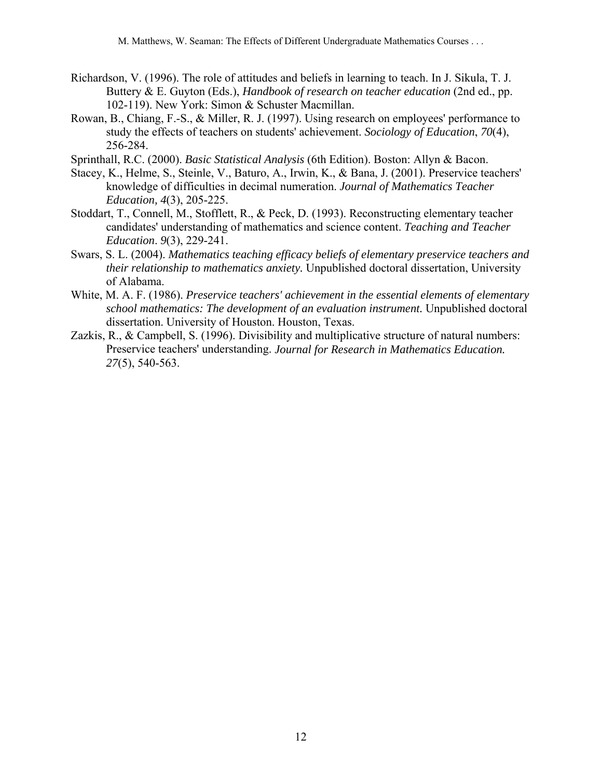- Richardson, V. (1996). The role of attitudes and beliefs in learning to teach. In J. Sikula, T. J. Buttery & E. Guyton (Eds.), *Handbook of research on teacher education* (2nd ed., pp. 102-119). New York: Simon & Schuster Macmillan.
- Rowan, B., Chiang, F.-S., & Miller, R. J. (1997). Using research on employees' performance to study the effects of teachers on students' achievement. *Sociology of Education*, *70*(4), 256-284.
- Sprinthall, R.C. (2000). *Basic Statistical Analysis* (6th Edition). Boston: Allyn & Bacon.
- Stacey, K., Helme, S., Steinle, V., Baturo, A., Irwin, K., & Bana, J. (2001). Preservice teachers' knowledge of difficulties in decimal numeration. *Journal of Mathematics Teacher Education, 4*(3), 205-225.
- Stoddart, T., Connell, M., Stofflett, R., & Peck, D. (1993). Reconstructing elementary teacher candidates' understanding of mathematics and science content. *Teaching and Teacher Education*. *9*(3), 229-241.
- Swars, S. L. (2004). *Mathematics teaching efficacy beliefs of elementary preservice teachers and their relationship to mathematics anxiety.* Unpublished doctoral dissertation, University of Alabama.
- White, M. A. F. (1986). *Preservice teachers' achievement in the essential elements of elementary school mathematics: The development of an evaluation instrument.* Unpublished doctoral dissertation. University of Houston. Houston, Texas.
- Zazkis, R., & Campbell, S. (1996). Divisibility and multiplicative structure of natural numbers: Preservice teachers' understanding. *Journal for Research in Mathematics Education. 27*(5), 540-563.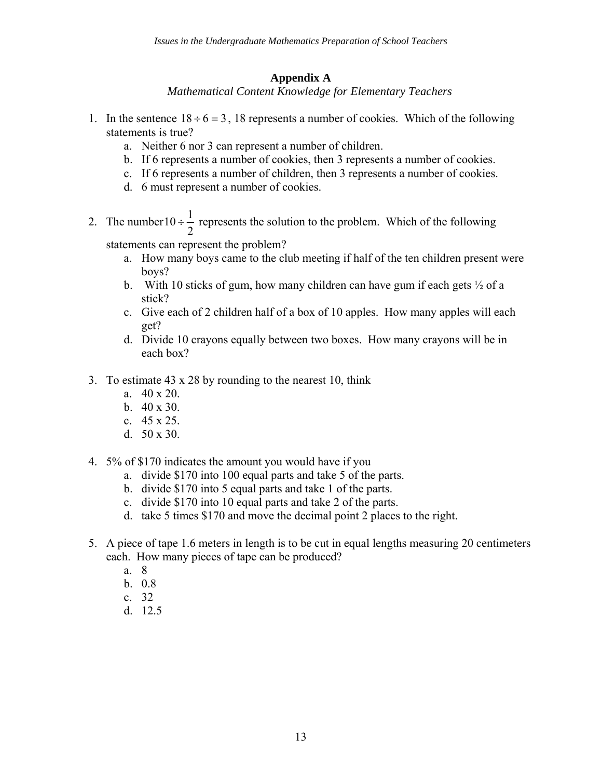# **Appendix A**

*Mathematical Content Knowledge for Elementary Teachers* 

- 1. In the sentence  $18 \div 6 = 3$ , 18 represents a number of cookies. Which of the following statements is true?
	- a. Neither 6 nor 3 can represent a number of children.
	- b. If 6 represents a number of cookies, then 3 represents a number of cookies.
	- c. If 6 represents a number of children, then 3 represents a number of cookies.
	- d. 6 must represent a number of cookies.
- 2. The number 2  $10 \div \frac{1}{2}$  represents the solution to the problem. Which of the following

statements can represent the problem?

- a. How many boys came to the club meeting if half of the ten children present were boys?
- b. With 10 sticks of gum, how many children can have gum if each gets  $\frac{1}{2}$  of a stick?
- c. Give each of 2 children half of a box of 10 apples. How many apples will each get?
- d. Divide 10 crayons equally between two boxes. How many crayons will be in each box?
- 3. To estimate 43 x 28 by rounding to the nearest 10, think
	- a. 40 x 20.
	- b. 40 x 30.
	- c. 45 x 25.
	- d. 50 x 30.
- 4. 5% of \$170 indicates the amount you would have if you
	- a. divide \$170 into 100 equal parts and take 5 of the parts.
	- b. divide \$170 into 5 equal parts and take 1 of the parts.
	- c. divide \$170 into 10 equal parts and take 2 of the parts.
	- d. take 5 times \$170 and move the decimal point 2 places to the right.
- 5. A piece of tape 1.6 meters in length is to be cut in equal lengths measuring 20 centimeters each. How many pieces of tape can be produced?
	- a. 8
	- b. 0.8
	- c. 32
	- d. 12.5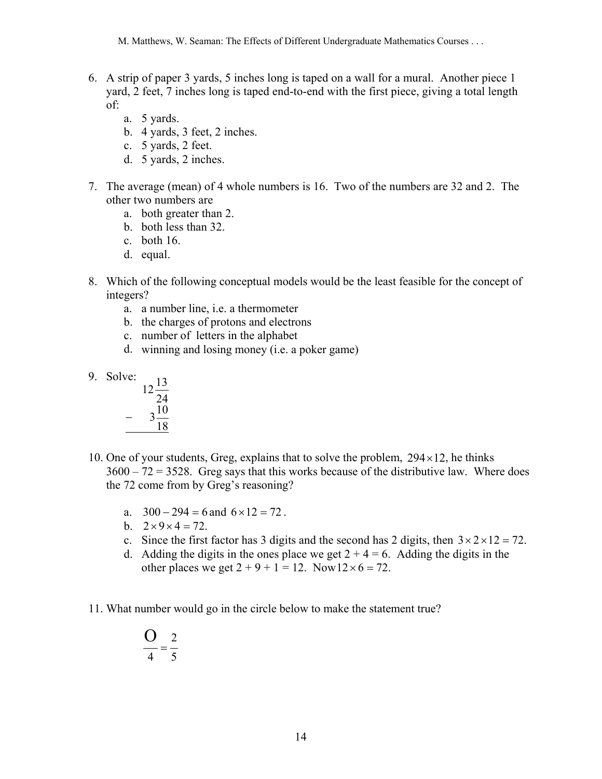M. Matthews, W. Seaman: The Effects of Different Undergraduate Mathematics Courses . . .

- 6. A strip of paper 3 yards, 5 inches long is taped on a wall for a mural. Another piece 1 yard, 2 feet, 7 inches long is taped end-to-end with the first piece, giving a total length of:
	- a. 5 yards.
	- b. 4 yards, 3 feet, 2 inches.
	- c. 5 yards, 2 feet.
	- d. 5 yards, 2 inches.
- 7. The average (mean) of 4 whole numbers is 16. Two of the numbers are 32 and 2. The other two numbers are
	- a. both greater than 2.
	- b. both less than 32.
	- c. both 16.
	- d. equal.
- 8. Which of the following conceptual models would be the least feasible for the concept of integers?
	- a. a number line, i.e. a thermometer
	- b. the charges of protons and electrons
	- c. number of letters in the alphabet
	- d. winning and losing money (i.e. a poker game)
- 9. Solve:



- 10. One of your students, Greg, explains that to solve the problem,  $294 \times 12$ , he thinks  $3600 - 72 = 3528$ . Greg says that this works because of the distributive law. Where does the 72 come from by Greg's reasoning?
	- a.  $300 294 = 6$  and  $6 \times 12 = 72$ .
	- b.  $2 \times 9 \times 4 = 72$ .
	- c. Since the first factor has 3 digits and the second has 2 digits, then  $3 \times 2 \times 12 = 72$ .
	- d. Adding the digits in the ones place we get  $2 + 4 = 6$ . Adding the digits in the other places we get  $2 + 9 + 1 = 12$ . Now  $12 \times 6 = 72$ .
- 11. What number would go in the circle below to make the statement true?

$$
\frac{O}{4} = \frac{2}{5}
$$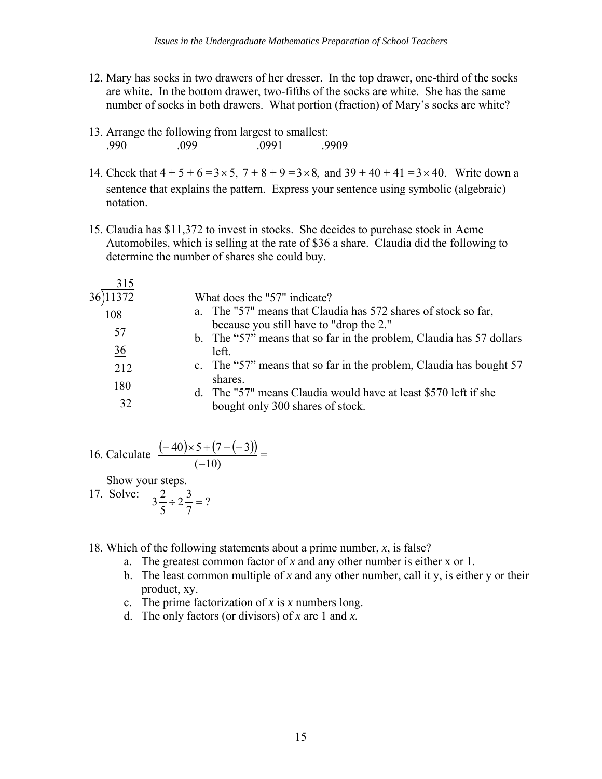- 12. Mary has socks in two drawers of her dresser. In the top drawer, one-third of the socks are white. In the bottom drawer, two-fifths of the socks are white. She has the same number of socks in both drawers. What portion (fraction) of Mary's socks are white?
- 13. Arrange the following from largest to smallest: .990 .099 .0991 .0999
- 14. Check that  $4 + 5 + 6 = 3 \times 5$ ,  $7 + 8 + 9 = 3 \times 8$ , and  $39 + 40 + 41 = 3 \times 40$ . Write down a sentence that explains the pattern. Express your sentence using symbolic (algebraic) notation.
- 15. Claudia has \$11,372 to invest in stocks. She decides to purchase stock in Acme Automobiles, which is selling at the rate of \$36 a share. Claudia did the following to determine the number of shares she could buy.

| a. The "57" means that Claudia has 572 shares of stock so far,<br>108<br>because you still have to "drop the 2."<br>57<br>b. The "57" means that so far in the problem, Claudia has 57 dollars<br>36<br>left.<br>c. The "57" means that so far in the problem, Claudia has bought 57<br>212<br>shares.<br>180<br>d. The "57" means Claudia would have at least \$570 left if she |
|----------------------------------------------------------------------------------------------------------------------------------------------------------------------------------------------------------------------------------------------------------------------------------------------------------------------------------------------------------------------------------|
| 32<br>bought only 300 shares of stock.                                                                                                                                                                                                                                                                                                                                           |

16. Calculate 
$$
\frac{(-40) \times 5 + (7 - (-3))}{(-10)} =
$$
  
Show your steps.

17. Solve:  $3\frac{2}{7} \div 2\frac{3}{7} = ?$ 7  $2\frac{3}{5}$ 5  $3\frac{2}{7} \div 2\frac{3}{7} =$ 

- 18. Which of the following statements about a prime number, *x*, is false?
	- a. The greatest common factor of *x* and any other number is either x or 1.
	- b. The least common multiple of *x* and any other number, call it y, is either y or their product, xy.
	- c. The prime factorization of *x* is *x* numbers long.
	- d. The only factors (or divisors) of *x* are 1 and *x.*